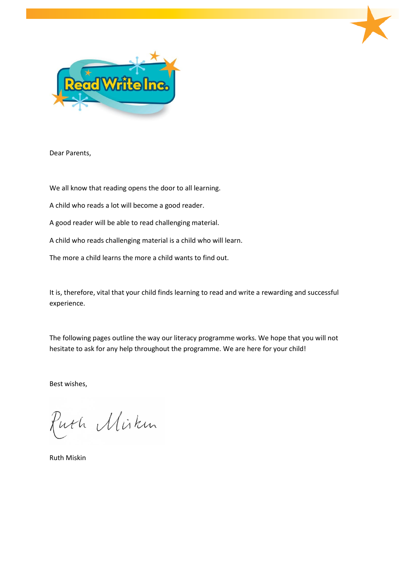

Dear Parents,

We all know that reading opens the door to all learning.

A child who reads a lot will become a good reader.

A good reader will be able to read challenging material.

A child who reads challenging material is a child who will learn.

The more a child learns the more a child wants to find out.

It is, therefore, vital that your child finds learning to read and write a rewarding and successful experience.

The following pages outline the way our literacy programme works. We hope that you will not hesitate to ask for any help throughout the programme. We are here for your child!

Best wishes,

Puth Miskin

Ruth Miskin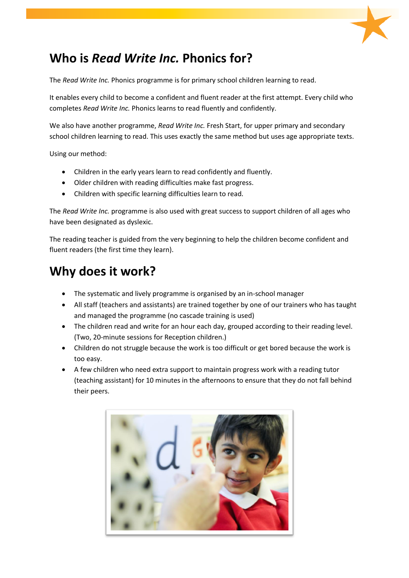

# **Who is** *Read Write Inc.* **Phonics for?**

The *Read Write Inc.* Phonics programme is for primary school children learning to read.

It enables every child to become a confident and fluent reader at the first attempt. Every child who completes *Read Write Inc.* Phonics learns to read fluently and confidently.

We also have another programme, *Read Write Inc.* Fresh Start, for upper primary and secondary school children learning to read. This uses exactly the same method but uses age appropriate texts.

Using our method:

- Children in the early years learn to read confidently and fluently.
- Older children with reading difficulties make fast progress.
- Children with specific learning difficulties learn to read.

The *Read Write Inc.* programme is also used with great success to support children of all ages who have been designated as dyslexic.

The reading teacher is guided from the very beginning to help the children become confident and fluent readers (the first time they learn).

## **Why does it work?**

- The systematic and lively programme is organised by an in-school manager
- All staff (teachers and assistants) are trained together by one of our trainers who has taught and managed the programme (no cascade training is used)
- The children read and write for an hour each day, grouped according to their reading level. (Two, 20-minute sessions for Reception children.)
- Children do not struggle because the work is too difficult or get bored because the work is too easy.
- A few children who need extra support to maintain progress work with a reading tutor (teaching assistant) for 10 minutes in the afternoons to ensure that they do not fall behind their peers.

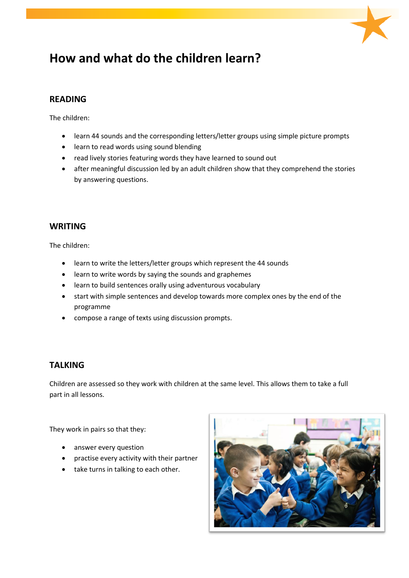

# **How and what do the children learn?**

### **READING**

The children:

- learn 44 sounds and the corresponding letters/letter groups using simple picture prompts
- learn to read words using sound blending
- read lively stories featuring words they have learned to sound out
- after meaningful discussion led by an adult children show that they comprehend the stories by answering questions.

### **WRITING**

The children:

- learn to write the letters/letter groups which represent the 44 sounds
- learn to write words by saying the sounds and graphemes
- learn to build sentences orally using adventurous vocabulary
- start with simple sentences and develop towards more complex ones by the end of the programme
- compose a range of texts using discussion prompts.

### **TALKING**

Children are assessed so they work with children at the same level. This allows them to take a full part in all lessons.

They work in pairs so that they:

- answer every question
- practise every activity with their partner
- take turns in talking to each other.

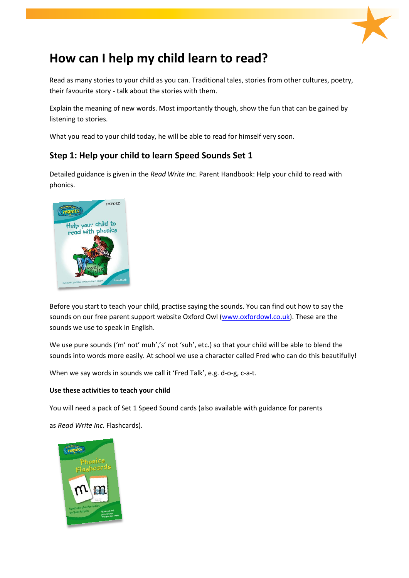

# **How can I help my child learn to read?**

Read as many stories to your child as you can. Traditional tales, stories from other cultures, poetry, their favourite story - talk about the stories with them.

Explain the meaning of new words. Most importantly though, show the fun that can be gained by listening to stories.

What you read to your child today, he will be able to read for himself very soon.

### **Step 1: Help your child to learn Speed Sounds Set 1**

Detailed guidance is given in the *Read Write Inc.* Parent Handbook: Help your child to read with phonics.



Before you start to teach your child, practise saying the sounds. You can find out how to say the sounds on our free parent support website Oxford Owl [\(www.oxfordowl.co.uk\)](http://www.oxfordowl.co.uk/). These are the sounds we use to speak in English.

We use pure sounds ('m' not' muh','s' not 'suh', etc.) so that your child will be able to blend the sounds into words more easily. At school we use a character called Fred who can do this beautifully!

When we say words in sounds we call it 'Fred Talk', e.g. d-o-g, c-a-t.

#### **Use these activities to teach your child**

You will need a pack of Set 1 Speed Sound cards (also available with guidance for parents

as *Read Write Inc.* Flashcards).

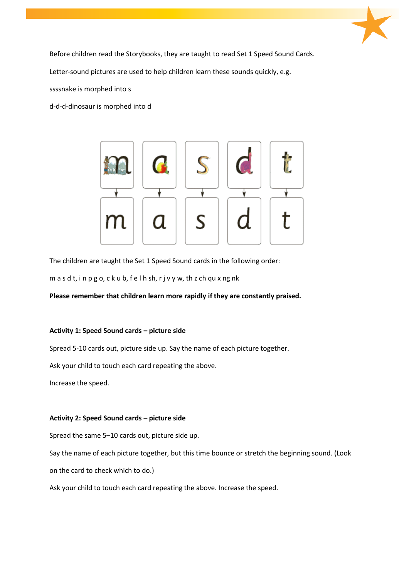

Before children read the Storybooks, they are taught to read Set 1 Speed Sound Cards.

Letter-sound pictures are used to help children learn these sounds quickly, e.g.

ssssnake is morphed into s

d-d-d-dinosaur is morphed into d



The children are taught the Set 1 Speed Sound cards in the following order:

m a s d t, i n p g o, c k u b, f e l h sh, r j v y w, th z ch qu x ng nk

#### **Please remember that children learn more rapidly if they are constantly praised.**

#### **Activity 1: Speed Sound cards – picture side**

Spread 5-10 cards out, picture side up. Say the name of each picture together.

Ask your child to touch each card repeating the above.

Increase the speed.

#### **Activity 2: Speed Sound cards – picture side**

Spread the same 5–10 cards out, picture side up.

Say the name of each picture together, but this time bounce or stretch the beginning sound. (Look

on the card to check which to do.)

Ask your child to touch each card repeating the above. Increase the speed.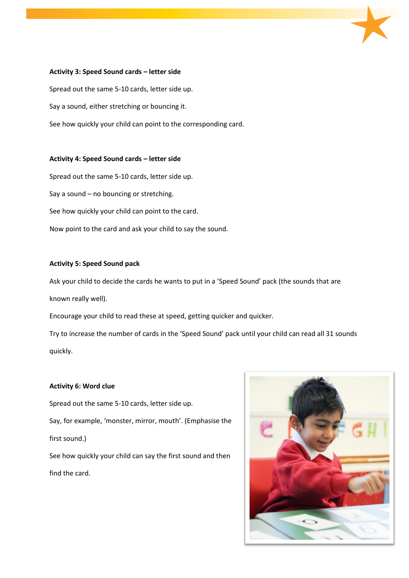#### **Activity 3: Speed Sound cards – letter side**

Spread out the same 5-10 cards, letter side up. Say a sound, either stretching or bouncing it. See how quickly your child can point to the corresponding card.

#### **Activity 4: Speed Sound cards – letter side**

Spread out the same 5-10 cards, letter side up. Say a sound – no bouncing or stretching. See how quickly your child can point to the card. Now point to the card and ask your child to say the sound.

#### **Activity 5: Speed Sound pack**

Ask your child to decide the cards he wants to put in a 'Speed Sound' pack (the sounds that are known really well).

Encourage your child to read these at speed, getting quicker and quicker.

Try to increase the number of cards in the 'Speed Sound' pack until your child can read all 31 sounds quickly.

#### **Activity 6: Word clue**

Spread out the same 5-10 cards, letter side up. Say, for example, 'monster, mirror, mouth'. (Emphasise the first sound.) See how quickly your child can say the first sound and then find the card.

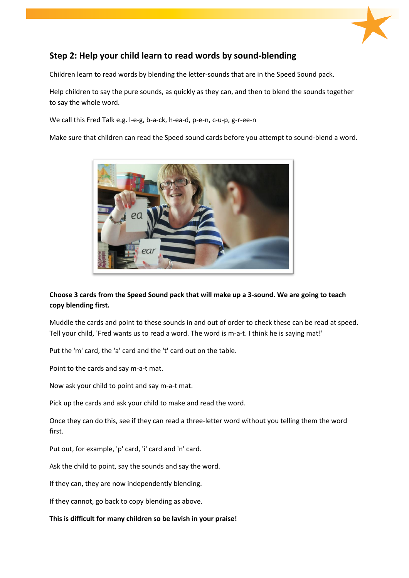

### **Step 2: Help your child learn to read words by sound-blending**

Children learn to read words by blending the letter-sounds that are in the Speed Sound pack.

Help children to say the pure sounds, as quickly as they can, and then to blend the sounds together to say the whole word.

We call this Fred Talk e.g. l-e-g, b-a-ck, h-ea-d, p-e-n, c-u-p, g-r-ee-n

Make sure that children can read the Speed sound cards before you attempt to sound-blend a word.



### **Choose 3 cards from the Speed Sound pack that will make up a 3-sound. We are going to teach copy blending first.**

Muddle the cards and point to these sounds in and out of order to check these can be read at speed. Tell your child, 'Fred wants us to read a word. The word is m-a-t. I think he is saying mat!'

Put the 'm' card, the 'a' card and the 't' card out on the table.

Point to the cards and say m-a-t mat.

Now ask your child to point and say m-a-t mat.

Pick up the cards and ask your child to make and read the word.

Once they can do this, see if they can read a three-letter word without you telling them the word first.

Put out, for example, 'p' card, 'i' card and 'n' card.

Ask the child to point, say the sounds and say the word.

If they can, they are now independently blending.

If they cannot, go back to copy blending as above.

**This is difficult for many children so be lavish in your praise!**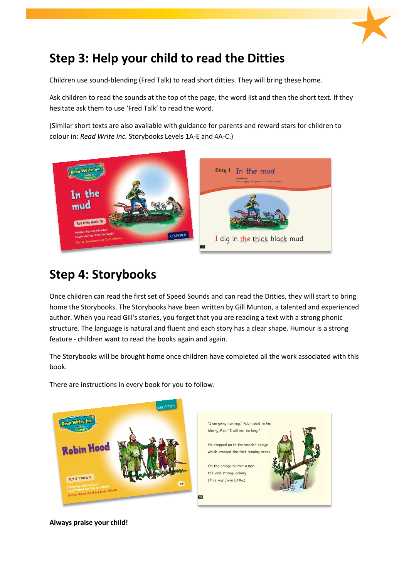

# **Step 3: Help your child to read the Ditties**

Children use sound-blending (Fred Talk) to read short ditties. They will bring these home.

Ask children to read the sounds at the top of the page, the word list and then the short text. If they hesitate ask them to use 'Fred Talk' to read the word.

(Similar short texts are also available with guidance for parents and reward stars for children to colour in: *Read Write Inc.* Storybooks Levels 1A-E and 4A-C.)



# **Step 4: Storybooks**

Once children can read the first set of Speed Sounds and can read the Ditties, they will start to bring home the Storybooks. The Storybooks have been written by Gill Munton, a talented and experienced author. When you read Gill's stories, you forget that you are reading a text with a strong phonic structure. The language is natural and fluent and each story has a clear shape. Humour is a strong feature - children want to read the books again and again.

The Storybooks will be brought home once children have completed all the work associated with this book.



There are instructions in every book for you to follow.



**Always praise your child!**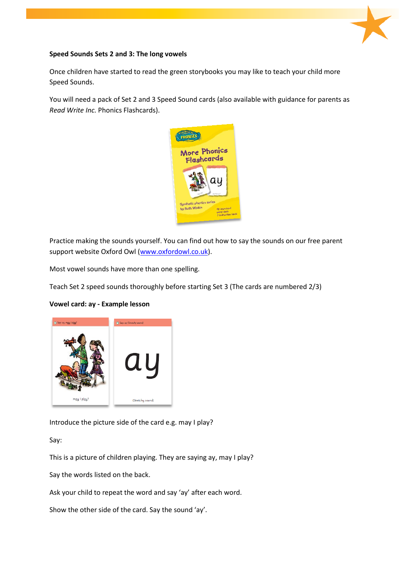

#### **Speed Sounds Sets 2 and 3: The long vowels**

Once children have started to read the green storybooks you may like to teach your child more Speed Sounds.

You will need a pack of Set 2 and 3 Speed Sound cards (also available with guidance for parents as *Read Write Inc.* Phonics Flashcards).



Practice making the sounds yourself. You can find out how to say the sounds on our free parent support website Oxford Owl [\(www.oxfordowl.co.uk\)](http://www.oxfordowl.co.uk/).

Most vowel sounds have more than one spelling.

Teach Set 2 speed sounds thoroughly before starting Set 3 (The cards are numbered 2/3)

#### **Vowel card: ay - Example lesson**



Introduce the picture side of the card e.g. may I play?

Say:

This is a picture of children playing. They are saying ay, may I play?

Say the words listed on the back.

Ask your child to repeat the word and say 'ay' after each word.

Show the other side of the card. Say the sound 'ay'.